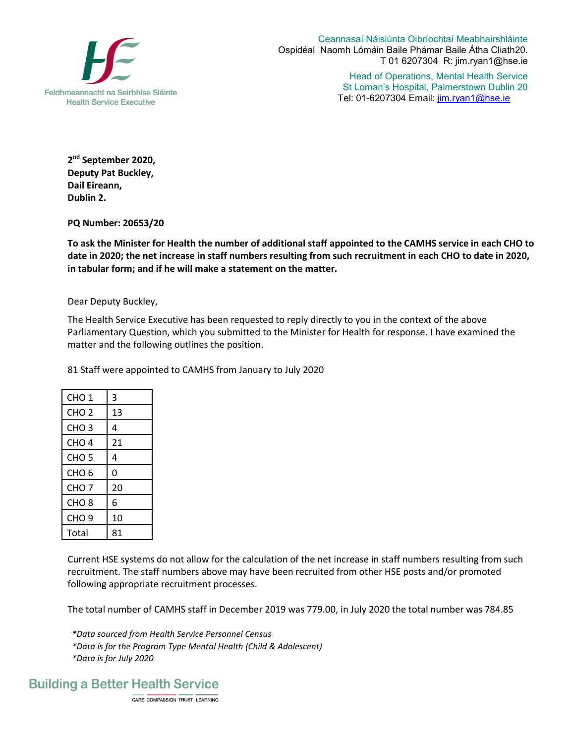

Ceannasaí Náisiúnta Oibríochtaí Meabhairshláinte Ospidéal Naomh Lómáin Baile Phámar Baile Átha Cliath20. T 01 6207304 R: jim.ryan1@hse.ie

> Head of Operations, Mental Health Service St Loman's Hospital, Palmerstown Dublin 20 Tel: 01-6207304 Email: jim.ryan1@hse.ie

**2 nd September 2020, Deputy Pat Buckley, Dail Eireann, Dublin 2.** 

**PQ Number: 20653/20**

**To ask the Minister for Health the number of additional staff appointed to the CAMHS service in each CHO to date in 2020; the net increase in staff numbers resulting from such recruitment in each CHO to date in 2020, in tabular form; and if he will make a statement on the matter.** 

Dear Deputy Buckley,

The Health Service Executive has been requested to reply directly to you in the context of the above Parliamentary Question, which you submitted to the Minister for Health for response. I have examined the matter and the following outlines the position.

81 Staff were appointed to CAMHS from January to July 2020

| CHO 1            | 3  |
|------------------|----|
| CHO <sub>2</sub> | 13 |
| CHO <sub>3</sub> | 4  |
| CHO <sub>4</sub> | 21 |
| CHO 5            | 4  |
| CHO 6            | 0  |
| CHO <sub>7</sub> | 20 |
| CHO <sub>8</sub> | 6  |
| CHO 9            | 10 |
| Total            | 81 |

Current HSE systems do not allow for the calculation of the net increase in staff numbers resulting from such recruitment. The staff numbers above may have been recruited from other HSE posts and/or promoted following appropriate recruitment processes.

The total number of CAMHS staff in December 2019 was 779.00, in July 2020 the total number was 784.85

*\*Data sourced from Health Service Personnel Census \*Data is for the Program Type Mental Health (Child & Adolescent) \*Data is for July 2020*

CARE COMPASSION TRUST LEARNING